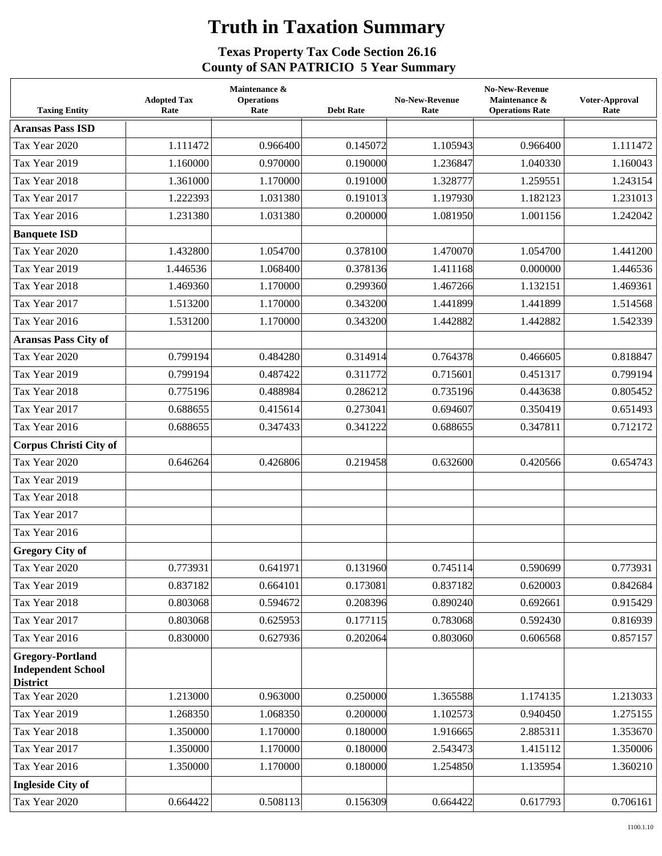## **Truth in Taxation Summary**

## **Texas Property Tax Code Section 26.16 County of SAN PATRICIO 5 Year Summary**

| <b>Taxing Entity</b>                                                    | <b>Adopted Tax</b><br>Rate | Maintenance &<br><b>Operations</b><br>Rate | <b>Debt Rate</b> | <b>No-New-Revenue</b><br>Rate | <b>No-New-Revenue</b><br>Maintenance &<br><b>Operations Rate</b> | Voter-Approval<br>Rate |
|-------------------------------------------------------------------------|----------------------------|--------------------------------------------|------------------|-------------------------------|------------------------------------------------------------------|------------------------|
| <b>Aransas Pass ISD</b>                                                 |                            |                                            |                  |                               |                                                                  |                        |
| Tax Year 2020                                                           | 1.111472                   | 0.966400                                   | 0.145072         | 1.105943                      | 0.966400                                                         | 1.111472               |
| Tax Year 2019                                                           | 1.160000                   | 0.970000                                   | 0.190000         | 1.236847                      | 1.040330                                                         | 1.160043               |
| Tax Year 2018                                                           | 1.361000                   | 1.170000                                   | 0.191000         | 1.328777                      | 1.259551                                                         | 1.243154               |
| Tax Year 2017                                                           | 1.222393                   | 1.031380                                   | 0.191013         | 1.197930                      | 1.182123                                                         | 1.231013               |
| Tax Year 2016                                                           | 1.231380                   | 1.031380                                   | 0.200000         | 1.081950                      | 1.001156                                                         | 1.242042               |
| <b>Banquete ISD</b>                                                     |                            |                                            |                  |                               |                                                                  |                        |
| Tax Year 2020                                                           | 1.432800                   | 1.054700                                   | 0.378100         | 1.470070                      | 1.054700                                                         | 1.441200               |
| Tax Year 2019                                                           | 1.446536                   | 1.068400                                   | 0.378136         | 1.411168                      | 0.000000                                                         | 1.446536               |
| Tax Year 2018                                                           | 1.469360                   | 1.170000                                   | 0.299360         | 1.467266                      | 1.132151                                                         | 1.469361               |
| Tax Year 2017                                                           | 1.513200                   | 1.170000                                   | 0.343200         | 1.441899                      | 1.441899                                                         | 1.514568               |
| Tax Year 2016                                                           | 1.531200                   | 1.170000                                   | 0.343200         | 1.442882                      | 1.442882                                                         | 1.542339               |
| <b>Aransas Pass City of</b>                                             |                            |                                            |                  |                               |                                                                  |                        |
| Tax Year 2020                                                           | 0.799194                   | 0.484280                                   | 0.314914         | 0.764378                      | 0.466605                                                         | 0.818847               |
| Tax Year 2019                                                           | 0.799194                   | 0.487422                                   | 0.311772         | 0.715601                      | 0.451317                                                         | 0.799194               |
| Tax Year 2018                                                           | 0.775196                   | 0.488984                                   | 0.286212         | 0.735196                      | 0.443638                                                         | 0.805452               |
| Tax Year 2017                                                           | 0.688655                   | 0.415614                                   | 0.273041         | 0.694607                      | 0.350419                                                         | 0.651493               |
| Tax Year 2016                                                           | 0.688655                   | 0.347433                                   | 0.341222         | 0.688655                      | 0.347811                                                         | 0.712172               |
| <b>Corpus Christi City of</b>                                           |                            |                                            |                  |                               |                                                                  |                        |
| Tax Year 2020                                                           | 0.646264                   | 0.426806                                   | 0.219458         | 0.632600                      | 0.420566                                                         | 0.654743               |
| Tax Year 2019                                                           |                            |                                            |                  |                               |                                                                  |                        |
| Tax Year 2018                                                           |                            |                                            |                  |                               |                                                                  |                        |
| Tax Year 2017                                                           |                            |                                            |                  |                               |                                                                  |                        |
| Tax Year 2016                                                           |                            |                                            |                  |                               |                                                                  |                        |
| <b>Gregory City of</b>                                                  |                            |                                            |                  |                               |                                                                  |                        |
| Tax Year 2020                                                           | 0.773931                   | 0.641971                                   | 0.131960         | 0.745114                      | 0.590699                                                         | 0.773931               |
| Tax Year 2019                                                           | 0.837182                   | 0.664101                                   | 0.173081         | 0.837182                      | 0.620003                                                         | 0.842684               |
| Tax Year 2018                                                           | 0.803068                   | 0.594672                                   | 0.208396         | 0.890240                      | 0.692661                                                         | 0.915429               |
| Tax Year 2017                                                           | 0.803068                   | 0.625953                                   | 0.177115         | 0.783068                      | 0.592430                                                         | 0.816939               |
| Tax Year 2016                                                           | 0.830000                   | 0.627936                                   | 0.202064         | 0.803060                      | 0.606568                                                         | 0.857157               |
| <b>Gregory-Portland</b><br><b>Independent School</b><br><b>District</b> |                            |                                            |                  |                               |                                                                  |                        |
| Tax Year 2020                                                           | 1.213000                   | 0.963000                                   | 0.250000         | 1.365588                      | 1.174135                                                         | 1.213033               |
| Tax Year 2019                                                           | 1.268350                   | 1.068350                                   | 0.200000         | 1.102573                      | 0.940450                                                         | 1.275155               |
| Tax Year 2018                                                           | 1.350000                   | 1.170000                                   | 0.180000         | 1.916665                      | 2.885311                                                         | 1.353670               |
| Tax Year 2017                                                           | 1.350000                   | 1.170000                                   | 0.180000         | 2.543473                      | 1.415112                                                         | 1.350006               |
| Tax Year 2016                                                           | 1.350000                   | 1.170000                                   | 0.180000         | 1.254850                      | 1.135954                                                         | 1.360210               |
| <b>Ingleside City of</b>                                                |                            |                                            |                  |                               |                                                                  |                        |
| Tax Year 2020                                                           | 0.664422                   | 0.508113                                   | 0.156309         | 0.664422                      | 0.617793                                                         | 0.706161               |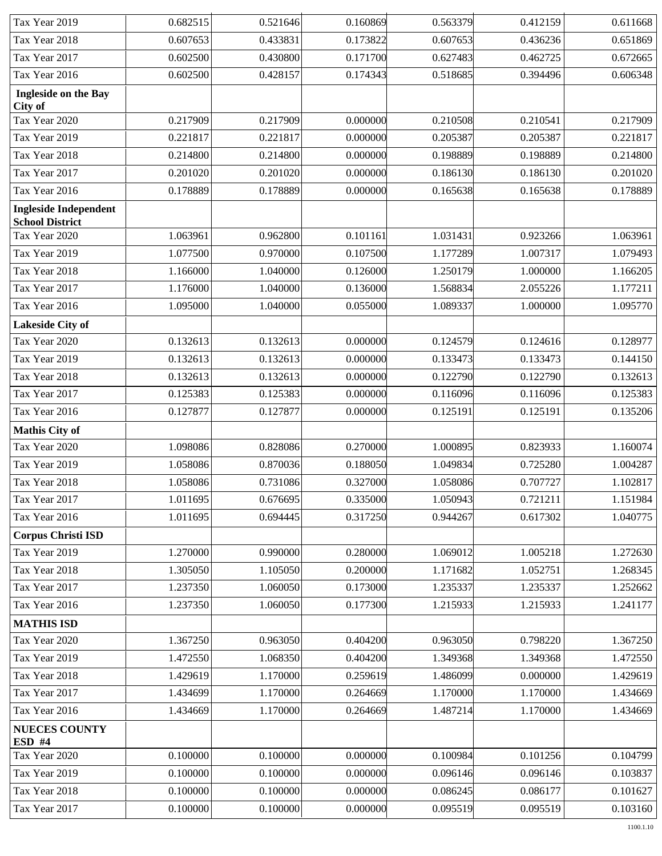| Tax Year 2019                                          | 0.682515 | 0.521646 | 0.160869 | 0.563379 | 0.412159 | 0.611668 |
|--------------------------------------------------------|----------|----------|----------|----------|----------|----------|
| Tax Year 2018                                          | 0.607653 | 0.433831 | 0.173822 | 0.607653 | 0.436236 | 0.651869 |
| Tax Year 2017                                          | 0.602500 | 0.430800 | 0.171700 | 0.627483 | 0.462725 | 0.672665 |
| Tax Year 2016                                          | 0.602500 | 0.428157 | 0.174343 | 0.518685 | 0.394496 | 0.606348 |
| Ingleside on the Bay<br>City of                        |          |          |          |          |          |          |
| Tax Year 2020                                          | 0.217909 | 0.217909 | 0.000000 | 0.210508 | 0.210541 | 0.217909 |
| Tax Year 2019                                          | 0.221817 | 0.221817 | 0.000000 | 0.205387 | 0.205387 | 0.221817 |
| Tax Year 2018                                          | 0.214800 | 0.214800 | 0.000000 | 0.198889 | 0.198889 | 0.214800 |
| Tax Year 2017                                          | 0.201020 | 0.201020 | 0.000000 | 0.186130 | 0.186130 | 0.201020 |
| Tax Year 2016                                          | 0.178889 | 0.178889 | 0.000000 | 0.165638 | 0.165638 | 0.178889 |
| <b>Ingleside Independent</b><br><b>School District</b> |          |          |          |          |          |          |
| Tax Year 2020                                          | 1.063961 | 0.962800 | 0.101161 | 1.031431 | 0.923266 | 1.063961 |
| Tax Year 2019                                          | 1.077500 | 0.970000 | 0.107500 | 1.177289 | 1.007317 | 1.079493 |
| Tax Year 2018                                          | 1.166000 | 1.040000 | 0.126000 | 1.250179 | 1.000000 | 1.166205 |
| Tax Year 2017                                          | 1.176000 | 1.040000 | 0.136000 | 1.568834 | 2.055226 | 1.177211 |
| Tax Year 2016                                          | 1.095000 | 1.040000 | 0.055000 | 1.089337 | 1.000000 | 1.095770 |
| Lakeside City of                                       |          |          |          |          |          |          |
| Tax Year 2020                                          | 0.132613 | 0.132613 | 0.000000 | 0.124579 | 0.124616 | 0.128977 |
| Tax Year 2019                                          | 0.132613 | 0.132613 | 0.000000 | 0.133473 | 0.133473 | 0.144150 |
| Tax Year 2018                                          | 0.132613 | 0.132613 | 0.000000 | 0.122790 | 0.122790 | 0.132613 |
| Tax Year 2017                                          | 0.125383 | 0.125383 | 0.000000 | 0.116096 | 0.116096 | 0.125383 |
| Tax Year 2016                                          | 0.127877 | 0.127877 | 0.000000 | 0.125191 | 0.125191 | 0.135206 |
| <b>Mathis City of</b>                                  |          |          |          |          |          |          |
| Tax Year 2020                                          | 1.098086 | 0.828086 | 0.270000 | 1.000895 | 0.823933 | 1.160074 |
| Tax Year 2019                                          | 1.058086 | 0.870036 | 0.188050 | 1.049834 | 0.725280 | 1.004287 |
| Tax Year 2018                                          | 1.058086 | 0.731086 | 0.327000 | 1.058086 | 0.707727 | 1.102817 |
| Tax Year 2017                                          | 1.011695 | 0.676695 | 0.335000 | 1.050943 | 0.721211 | 1.151984 |
| Tax Year 2016                                          | 1.011695 | 0.694445 | 0.317250 | 0.944267 | 0.617302 | 1.040775 |
| <b>Corpus Christi ISD</b>                              |          |          |          |          |          |          |
| Tax Year 2019                                          | 1.270000 | 0.990000 | 0.280000 | 1.069012 | 1.005218 | 1.272630 |
| Tax Year 2018                                          | 1.305050 | 1.105050 | 0.200000 | 1.171682 | 1.052751 | 1.268345 |
| Tax Year 2017                                          | 1.237350 | 1.060050 | 0.173000 | 1.235337 | 1.235337 | 1.252662 |
| Tax Year 2016                                          | 1.237350 | 1.060050 | 0.177300 | 1.215933 | 1.215933 | 1.241177 |
| <b>MATHIS ISD</b>                                      |          |          |          |          |          |          |
| Tax Year 2020                                          | 1.367250 | 0.963050 | 0.404200 | 0.963050 | 0.798220 | 1.367250 |
| Tax Year 2019                                          | 1.472550 | 1.068350 | 0.404200 | 1.349368 | 1.349368 | 1.472550 |
| Tax Year 2018                                          | 1.429619 | 1.170000 | 0.259619 | 1.486099 | 0.000000 | 1.429619 |
| Tax Year 2017                                          | 1.434699 | 1.170000 | 0.264669 | 1.170000 | 1.170000 | 1.434669 |
| Tax Year 2016                                          | 1.434669 | 1.170000 | 0.264669 | 1.487214 | 1.170000 | 1.434669 |
| <b>NUECES COUNTY</b><br><b>ESD #4</b>                  |          |          |          |          |          |          |
| Tax Year 2020                                          | 0.100000 | 0.100000 | 0.000000 | 0.100984 | 0.101256 | 0.104799 |
| Tax Year 2019                                          | 0.100000 | 0.100000 | 0.000000 | 0.096146 | 0.096146 | 0.103837 |
| Tax Year 2018                                          | 0.100000 | 0.100000 | 0.000000 | 0.086245 | 0.086177 | 0.101627 |
| Tax Year 2017                                          | 0.100000 | 0.100000 | 0.000000 | 0.095519 | 0.095519 | 0.103160 |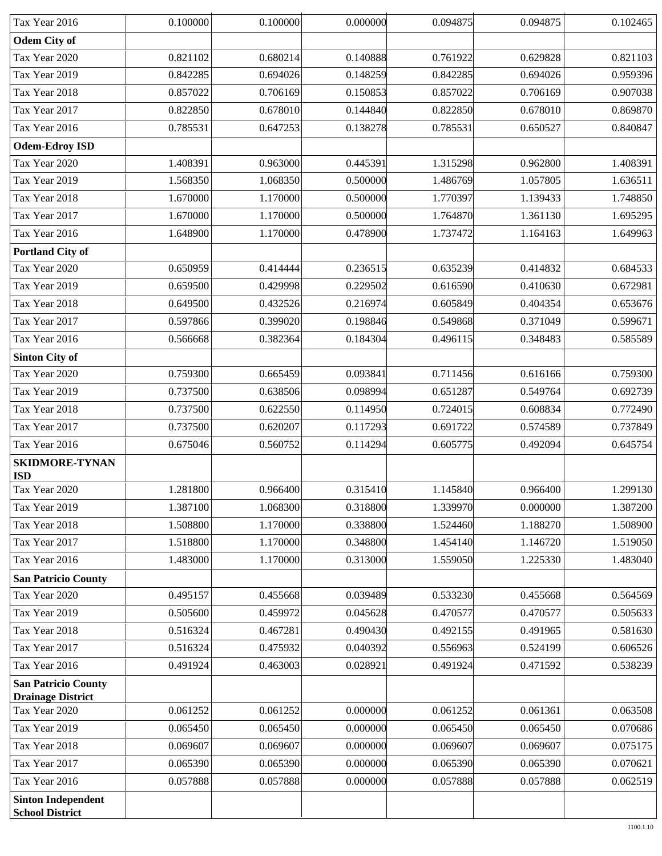| Tax Year 2016                                       | 0.100000 | 0.100000 | 0.000000 | 0.094875 | 0.094875 | 0.102465 |
|-----------------------------------------------------|----------|----------|----------|----------|----------|----------|
| <b>Odem City of</b>                                 |          |          |          |          |          |          |
| Tax Year 2020                                       | 0.821102 | 0.680214 | 0.140888 | 0.761922 | 0.629828 | 0.821103 |
| Tax Year 2019                                       | 0.842285 | 0.694026 | 0.148259 | 0.842285 | 0.694026 | 0.959396 |
| Tax Year 2018                                       | 0.857022 | 0.706169 | 0.150853 | 0.857022 | 0.706169 | 0.907038 |
| Tax Year 2017                                       | 0.822850 | 0.678010 | 0.144840 | 0.822850 | 0.678010 | 0.869870 |
| Tax Year 2016                                       | 0.785531 | 0.647253 | 0.138278 | 0.785531 | 0.650527 | 0.840847 |
| <b>Odem-Edroy ISD</b>                               |          |          |          |          |          |          |
| Tax Year 2020                                       | 1.408391 | 0.963000 | 0.445391 | 1.315298 | 0.962800 | 1.408391 |
| Tax Year 2019                                       | 1.568350 | 1.068350 | 0.500000 | 1.486769 | 1.057805 | 1.636511 |
| Tax Year 2018                                       | 1.670000 | 1.170000 | 0.500000 | 1.770397 | 1.139433 | 1.748850 |
| Tax Year 2017                                       | 1.670000 | 1.170000 | 0.500000 | 1.764870 | 1.361130 | 1.695295 |
| Tax Year 2016                                       | 1.648900 | 1.170000 | 0.478900 | 1.737472 | 1.164163 | 1.649963 |
| <b>Portland City of</b>                             |          |          |          |          |          |          |
| Tax Year 2020                                       | 0.650959 | 0.414444 | 0.236515 | 0.635239 | 0.414832 | 0.684533 |
| Tax Year 2019                                       | 0.659500 | 0.429998 | 0.229502 | 0.616590 | 0.410630 | 0.672981 |
| Tax Year 2018                                       | 0.649500 | 0.432526 | 0.216974 | 0.605849 | 0.404354 | 0.653676 |
| Tax Year 2017                                       | 0.597866 | 0.399020 | 0.198846 | 0.549868 | 0.371049 | 0.599671 |
| Tax Year 2016                                       | 0.566668 | 0.382364 | 0.184304 | 0.496115 | 0.348483 | 0.585589 |
| <b>Sinton City of</b>                               |          |          |          |          |          |          |
| Tax Year 2020                                       | 0.759300 | 0.665459 | 0.093841 | 0.711456 | 0.616166 | 0.759300 |
| Tax Year 2019                                       | 0.737500 | 0.638506 | 0.098994 | 0.651287 | 0.549764 | 0.692739 |
| Tax Year 2018                                       | 0.737500 | 0.622550 | 0.114950 | 0.724015 | 0.608834 | 0.772490 |
| Tax Year 2017                                       | 0.737500 | 0.620207 | 0.117293 | 0.691722 | 0.574589 | 0.737849 |
| Tax Year 2016                                       | 0.675046 | 0.560752 | 0.114294 | 0.605775 | 0.492094 | 0.645754 |
| <b>SKIDMORE-TYNAN</b><br><b>ISD</b>                 |          |          |          |          |          |          |
| Tax Year 2020                                       | 1.281800 | 0.966400 | 0.315410 | 1.145840 | 0.966400 | 1.299130 |
| Tax Year 2019                                       | 1.387100 | 1.068300 | 0.318800 | 1.339970 | 0.000000 | 1.387200 |
| Tax Year 2018                                       | 1.508800 | 1.170000 | 0.338800 | 1.524460 | 1.188270 | 1.508900 |
| Tax Year 2017                                       | 1.518800 | 1.170000 | 0.348800 | 1.454140 | 1.146720 | 1.519050 |
| Tax Year 2016                                       | 1.483000 | 1.170000 | 0.313000 | 1.559050 | 1.225330 | 1.483040 |
| <b>San Patricio County</b>                          |          |          |          |          |          |          |
| Tax Year 2020                                       | 0.495157 | 0.455668 | 0.039489 | 0.533230 | 0.455668 | 0.564569 |
| Tax Year 2019                                       | 0.505600 | 0.459972 | 0.045628 | 0.470577 | 0.470577 | 0.505633 |
| Tax Year 2018                                       | 0.516324 | 0.467281 | 0.490430 | 0.492155 | 0.491965 | 0.581630 |
| Tax Year 2017                                       | 0.516324 | 0.475932 | 0.040392 | 0.556963 | 0.524199 | 0.606526 |
| Tax Year 2016                                       | 0.491924 | 0.463003 | 0.028921 | 0.491924 | 0.471592 | 0.538239 |
| <b>San Patricio County</b>                          |          |          |          |          |          |          |
| <b>Drainage District</b><br>Tax Year 2020           | 0.061252 | 0.061252 | 0.000000 | 0.061252 | 0.061361 | 0.063508 |
| Tax Year 2019                                       | 0.065450 | 0.065450 | 0.000000 | 0.065450 | 0.065450 | 0.070686 |
| Tax Year 2018                                       | 0.069607 | 0.069607 | 0.000000 | 0.069607 | 0.069607 | 0.075175 |
| Tax Year 2017                                       | 0.065390 | 0.065390 | 0.000000 | 0.065390 | 0.065390 | 0.070621 |
| Tax Year 2016                                       | 0.057888 | 0.057888 | 0.000000 | 0.057888 | 0.057888 | 0.062519 |
|                                                     |          |          |          |          |          |          |
| <b>Sinton Independent</b><br><b>School District</b> |          |          |          |          |          |          |